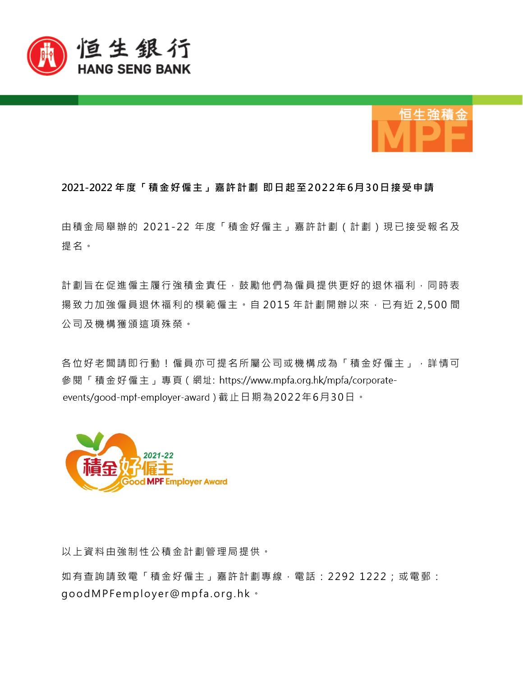



## **2021-2022 年度「積金好僱主」嘉許計劃 即日起至202 2年6月3 0日接受申請**

由積金局舉辦的 2021-2 2 年度「積金好僱主」嘉許計劃(計劃)現已接受報名及 提名。

計劃旨在促進僱主履行強積金責任,鼓勵他們為僱員提供更好的退休福利,同時表 揚致力加強僱員退休福利的模範僱主。自 2015 年計劃開辦以來,已有近 2,500 間 公司及機構獲頒這項殊榮。

各位好老闆請即行動!僱員亦可提名所屬公司或機構成為「積金好僱主」,詳情可 參閱「積金好僱主」專頁 (網址: https://www.mpfa.org.hk/mpfa/corporateevents/good-mpf-employer-award) 截止日期為2022年6月30日。



以上資料由強制性公積金計劃管理局提供。

如有查詢請致電「積金好僱主」嘉許計劃專線,電話: 2292 1222;或電郵: good MPF employer@mpfa.org.hk ·